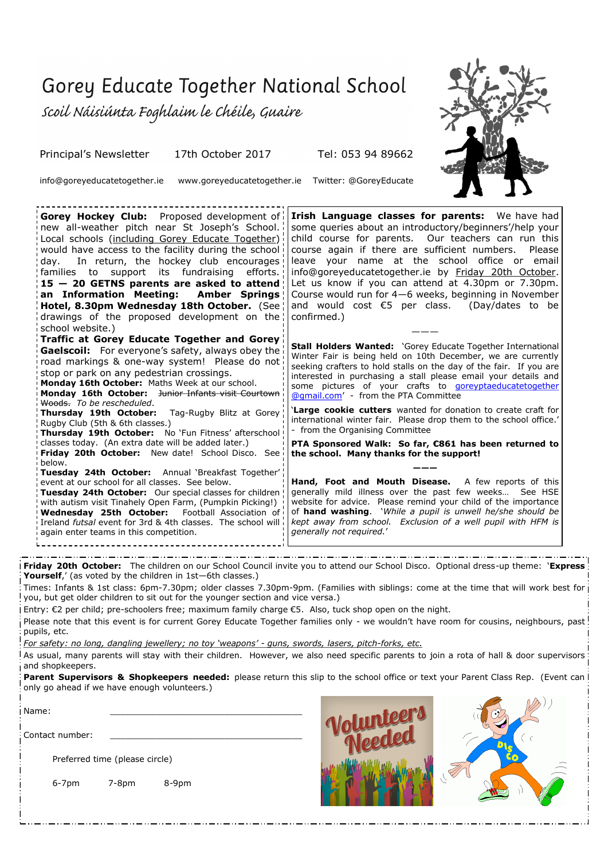## Gorey Educate Together National School

scoil Náisiúnta Foghlaim le Chéile, Guaire

Principal's Newsletter 17th October 2017 Tel: 053 94 89662

info@goreyeducatetogether.ie www.goreyeducatetogether.ie Twitter: @GoreyEducate

**Gorey Hockey Club:** Proposed development of new all-weather pitch near St Joseph's School. Local schools (including Gorey Educate Together) would have access to the facility during the school day. In return, the hockey club encourages! families to support its fundraising efforts. **15 — 20 GETNS parents are asked to attend an Information Meeting: Amber Springs Hotel, 8.30pm Wednesday 18th October.** (See drawings of the proposed development on the school website.) **Traffic at Gorey Educate Together and Gorey Gaelscoil:** For everyone's safety, always obey the road markings & one-way system! Please do not stop or park on any pedestrian crossings. **Monday 16th October:** Maths Week at our school. **Monday 16th October:** Junior Infants visit Courtown Woods. *To be rescheduled*. **Thursday 19th October:** Tag-Rugby Blitz at Gorey Rugby Club (5th & 6th classes.) Thursday 19th October: No 'Fun Fitness' afterschool classes today. (An extra date will be added later.) Friday 20th October: New date! School Disco. See below. **Tuesday 24th October:** Annual 'Breakfast Together' event at our school for all classes. See below. **Tuesday 24th October:** Our special classes for children with autism visit Tinahely Open Farm, (Pumpkin Picking!) **Wednesday 25th October:** Football Association of Ireland *futsal* event for 3rd & 4th classes. The school will again enter teams in this competition. **Irish Language classes for parents:** We have had some queries about an introductory/beginners'/help your child course for parents. Our teachers can run this course again if there are sufficient numbers. Please leave your name at the school office or email info@goreyeducatetogether.ie by Friday 20th October. Let us know if you can attend at 4.30pm or 7.30pm. Course would run for 4—6 weeks, beginning in November and would cost  $\epsilon$ 5 per class. (Day/dates to be confirmed.) ——— **Stall Holders Wanted:** 'Gorey Educate Together International Winter Fair is being held on 10th December, we are currently seeking crafters to hold stalls on the day of the fair. If you are interested in purchasing a stall please email your details and some pictures of your crafts to goreyptaeducatetogether [@gmail.com](mailto:goreyptaeducatetogether@gmail.com)' - from the PTA Committee '**Large cookie cutters** wanted for donation to create craft for international winter fair. Please drop them to the school office.' from the Organising Committee **PTA Sponsored Walk: So far, €861 has been returned to the school. Many thanks for the support! ——— Hand, Foot and Mouth Disease.** A few reports of this generally mild illness over the past few weeks… See HSE website for advice. Please remind your child of the importance of **hand washing**. '*While a pupil is unwell he/she should be kept away from school. Exclusion of a well pupil with HFM is generally not required.*'

**Friday 20th October:** The children on our School Council invite you to attend our School Disco. Optional dress-up theme: '**Express** Yourself,' (as voted by the children in 1st-6th classes.)

Times: Infants & 1st class: 6pm-7.30pm; older classes 7.30pm-9pm. (Families with siblings: come at the time that will work best for you, but get older children to sit out for the younger section and vice versa.)

Entry: €2 per child; pre-schoolers free; maximum family charge €5. Also, tuck shop open on the night.

Please note that this event is for current Gorey Educate Together families only - we wouldn't have room for cousins, neighbours, past pupils, etc.

*For safety: no long, dangling jewellery; no toy 'weapons' - guns, swords, lasers, pitch-forks, etc.*

As usual, many parents will stay with their children. However, we also need specific parents to join a rota of hall & door supervisors and shopkeepers.

**Parent Supervisors & Shopkeepers needed:** please return this slip to the school office or text your Parent Class Rep. (Event can l only go ahead if we have enough volunteers.)

Name: \_\_\_\_\_\_\_\_\_\_\_\_\_\_\_\_\_\_\_\_\_\_\_\_\_\_\_\_\_\_\_\_\_\_\_\_\_ Contact number:

Preferred time (please circle)

6-7pm 7-8pm 8-9pm